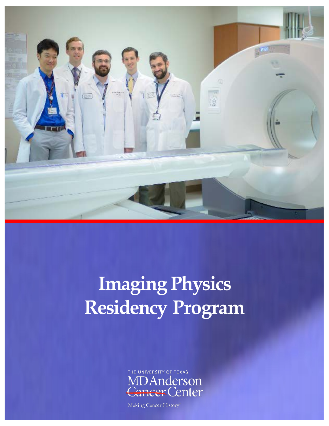

# **Imaging Physics Residency Program**



Making Cancer History®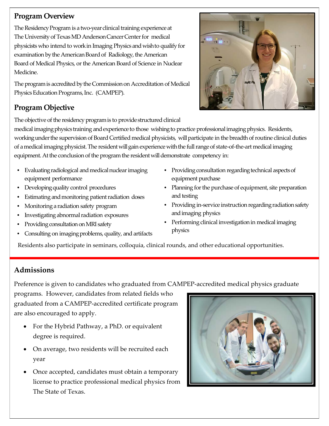## **Program Overview**

The Residency Program is a two-year clinical training experience at The University of Texas MD Anderson Cancer Center for medical physicists who intend to work in Imaging Physics and wish to qualify for examination by the American Board of Radiology, the American Board of Medical Physics, or the American Board of Science in Nuclear Medicine.

The program is accredited by the Commission on Accreditation of Medical Physics Education Programs, Inc. (CAMPEP).

# **Program Objective**

The objective of the residency program is to provide structured clinical

medical imaging physics training and experience to those wishing to practice professional imaging physics. Residents, working under the supervision of Board Certified medical physicists, will participate in the breadth of routine clinical duties of a medical imaging physicist. The resident will gain experience with the full range of state-of-the-art medical imaging equipment. At the conclusion of the program the resident will demonstrate competency in:

- Evaluating radiological and medical nuclear imaging equipment performance
- Developing quality control procedures
- Estimating and monitoring patient radiation doses
- Monitoring a radiation safety program
- Investigating abnormal radiation exposures
- Providing consultation on MRI safety
- Consulting on imaging problems, quality, and artifacts
- Providing consultation regarding technical aspects of equipment purchase
- Planning for the purchase of equipment, site preparation and testing
- Providing in-service instruction regarding radiation safety and imaging physics
- Performing clinical investigation in medical imaging physics

Residents also participate in seminars, colloquia, clinical rounds, and other educational opportunities.

# **Admissions**

Preference is given to candidates who graduated from CAMPEP-accredited medical physics graduate

programs. However, candidates from related fields who graduated from a CAMPEP-accredited certificate program are also encouraged to apply.

- For the Hybrid Pathway, a PhD. or equivalent degree is required.
- On average, two residents will be recruited each year
- Once accepted, candidates must obtain a temporary license to practice professional medical physics from The State of Texas.



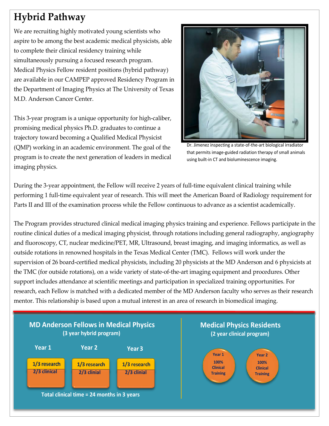# **Hybrid Pathway**

We are recruiting highly motivated young scientists who aspire to be among the best academic medical physicists, able to complete their clinical residency training while simultaneously pursuing a focused research program. Medical Physics Fellow resident positions (hybrid pathway) are available in our CAMPEP approved Residency Program in the Department of Imaging Physics at The University of Texas M.D. Anderson Cancer Center.

This 3-year program is a unique opportunity for high-caliber, promising medical physics Ph.D. graduates to continue a trajectory toward becoming a Qualified Medical Physicist (QMP) working in an academic environment. The goal of the program is to create the next generation of leaders in medical imaging physics.



Dr. Jimenez inspecting a state-of-the-art biological irradiator that permits image-guided radiation therapy of small animals using built-in CT and bioluminescence imaging.

During the 3-year appointment, the Fellow will receive 2 years of full-time equivalent clinical training while performing 1 full-time equivalent year of research. This will meet the American Board of Radiology requirement for Parts II and III of the examination process while the Fellow continuous to advance as a scientist academically.

The Program provides structured clinical medical imaging physics training and experience. Fellows participate in the routine clinical duties of a medical imaging physicist, through rotations including general radiography, angiography and fluoroscopy, CT, nuclear medicine/PET, MR, Ultrasound, breast imaging, and imaging informatics, as well as outside rotations in renowned hospitals in the Texas Medical Center (TMC). Fellows will work under the supervision of 26 board-certified medical physicists, including 20 physicists at the MD Anderson and 6 physicists at the TMC (for outside rotations), on a wide variety of state-of-the-art imaging equipment and procedures. Other support includes attendance at scientific meetings and participation in specialized training opportunities. For research, each Fellow is matched with a dedicated member of the MD Anderson faculty who serves as their research mentor. This relationship is based upon a mutual interest in an area of research in biomedical imaging.